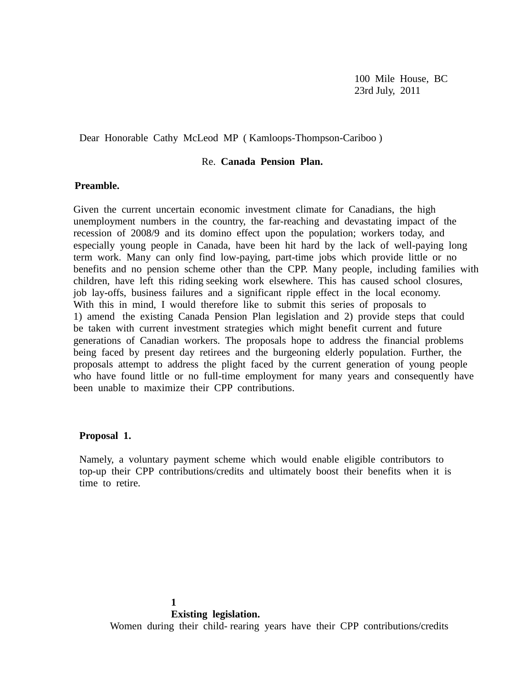100 Mile House, BC 23rd July, 2011

Dear Honorable Cathy McLeod MP ( Kamloops-Thompson-Cariboo )

# Re. **Canada Pension Plan.**

# **Preamble.**

Given the current uncertain economic investment climate for Canadians, the high unemployment numbers in the country, the far-reaching and devastating impact of the recession of 2008/9 and its domino effect upon the population; workers today, and especially young people in Canada, have been hit hard by the lack of well-paying long term work. Many can only find low-paying, part-time jobs which provide little or no benefits and no pension scheme other than the CPP. Many people, including families with children, have left this riding seeking work elsewhere. This has caused school closures, job lay-offs, business failures and a significant ripple effect in the local economy. With this in mind, I would therefore like to submit this series of proposals to 1) amend the existing Canada Pension Plan legislation and 2) provide steps that could be taken with current investment strategies which might benefit current and future generations of Canadian workers. The proposals hope to address the financial problems being faced by present day retirees and the burgeoning elderly population. Further, the proposals attempt to address the plight faced by the current generation of young people who have found little or no full-time employment for many years and consequently have been unable to maximize their CPP contributions.

# **Proposal 1.**

Namely, a voluntary payment scheme which would enable eligible contributors to top-up their CPP contributions/credits and ultimately boost their benefits when it is time to retire.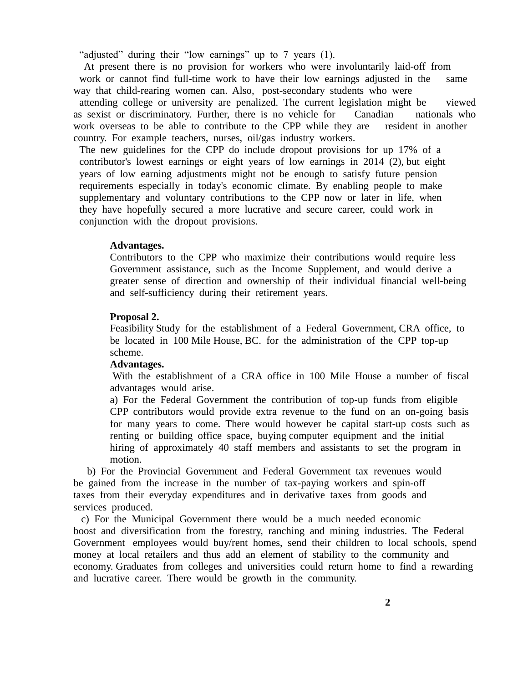"adjusted" during their "low earnings" up to 7 years (1).

 At present there is no provision for workers who were involuntarily laid-off from work or cannot find full-time work to have their low earnings adjusted in the same way that child-rearing women can. Also, post-secondary students who were attending college or university are penalized. The current legislation might be viewed as sexist or discriminatory. Further, there is no vehicle for Canadian nationals who work overseas to be able to contribute to the CPP while they are resident in another country. For example teachers, nurses, oil/gas industry workers.

The new guidelines for the CPP do include dropout provisions for up 17% of a contributor's lowest earnings or eight years of low earnings in 2014 (2), but eight years of low earning adjustments might not be enough to satisfy future pension requirements especially in today's economic climate. By enabling people to make supplementary and voluntary contributions to the CPP now or later in life, when they have hopefully secured a more lucrative and secure career, could work in conjunction with the dropout provisions.

## **Advantages.**

Contributors to the CPP who maximize their contributions would require less Government assistance, such as the Income Supplement, and would derive a greater sense of direction and ownership of their individual financial well-being and self-sufficiency during their retirement years.

#### **Proposal 2.**

Feasibility Study for the establishment of a Federal Government, CRA office, to be located in 100 Mile House, BC. for the administration of the CPP top-up scheme.

## **Advantages.**

With the establishment of a CRA office in 100 Mile House a number of fiscal advantages would arise.

a) For the Federal Government the contribution of top-up funds from eligible CPP contributors would provide extra revenue to the fund on an on-going basis for many years to come. There would however be capital start-up costs such as renting or building office space, buying computer equipment and the initial hiring of approximately 40 staff members and assistants to set the program in motion.

 b) For the Provincial Government and Federal Government tax revenues would be gained from the increase in the number of tax-paying workers and spin-off taxes from their everyday expenditures and in derivative taxes from goods and services produced.

 c) For the Municipal Government there would be a much needed economic boost and diversification from the forestry, ranching and mining industries. The Federal Government employees would buy/rent homes, send their children to local schools, spend money at local retailers and thus add an element of stability to the community and economy. Graduates from colleges and universities could return home to find a rewarding and lucrative career. There would be growth in the community.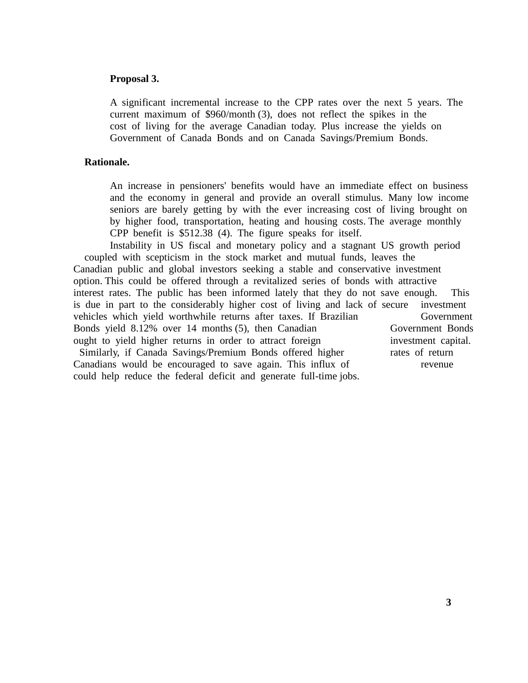## **Proposal 3.**

A significant incremental increase to the CPP rates over the next 5 years. The current maximum of \$960/month (3), does not reflect the spikes in the cost of living for the average Canadian today. Plus increase the yields on Government of Canada Bonds and on Canada Savings/Premium Bonds.

## **Rationale.**

An increase in pensioners' benefits would have an immediate effect on business and the economy in general and provide an overall stimulus. Many low income seniors are barely getting by with the ever increasing cost of living brought on by higher food, transportation, heating and housing costs. The average monthly CPP benefit is \$512.38 (4). The figure speaks for itself.

Instability in US fiscal and monetary policy and a stagnant US growth period coupled with scepticism in the stock market and mutual funds, leaves the Canadian public and global investors seeking a stable and conservative investment option. This could be offered through a revitalized series of bonds with attractive interest rates. The public has been informed lately that they do not save enough. This is due in part to the considerably higher cost of living and lack of secure investment vehicles which yield worthwhile returns after taxes. If Brazilian Government Bonds yield 8.12% over 14 months (5), then Canadian Government Bonds ought to yield higher returns in order to attract foreign investment capital. Similarly, if Canada Savings/Premium Bonds offered higher rates of return Canadians would be encouraged to save again. This influx of revenue could help reduce the federal deficit and generate full-time jobs.